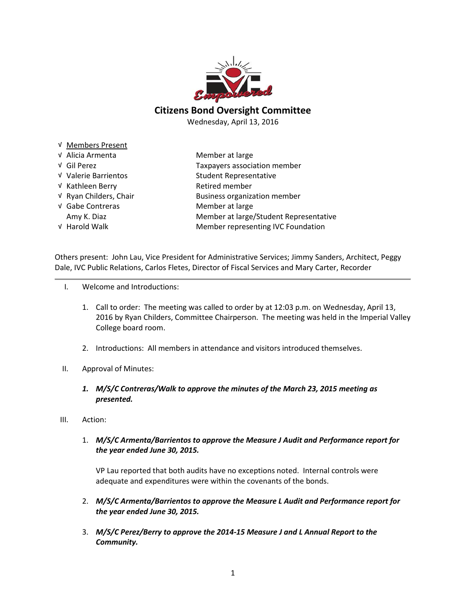

## Citizens Bond Oversight Committee

Wednesday, April 13, 2016

√ Members Present √ Alicia Armenta Member at large √ Gil Perez Taxpayers association member √ Valerie Barrientos Student Representative √ Kathleen Berry Retired member √ Ryan Childers, Chair Business organization member √ Gabe Contreras Member at large Amy K. Diaz **Member at large/Student Representative** √ Harold Walk Member representing IVC Foundation

Others present: John Lau, Vice President for Administrative Services; Jimmy Sanders, Architect, Peggy Dale, IVC Public Relations, Carlos Fletes, Director of Fiscal Services and Mary Carter, Recorder

- I. Welcome and Introductions:
	- 1. Call to order: The meeting was called to order by at 12:03 p.m. on Wednesday, April 13, 2016 by Ryan Childers, Committee Chairperson. The meeting was held in the Imperial Valley College board room.
	- 2. Introductions: All members in attendance and visitors introduced themselves.
- II. Approval of Minutes:
	- 1. M/S/C Contreras/Walk to approve the minutes of the March 23, 2015 meeting as presented.
- III. Action:
	- 1. M/S/C Armenta/Barrientos to approve the Measure J Audit and Performance report for the year ended June 30, 2015.

VP Lau reported that both audits have no exceptions noted. Internal controls were adequate and expenditures were within the covenants of the bonds.

- 2. M/S/C Armenta/Barrientos to approve the Measure L Audit and Performance report for the year ended June 30, 2015.
- 3. M/S/C Perez/Berry to approve the 2014-15 Measure J and L Annual Report to the Community.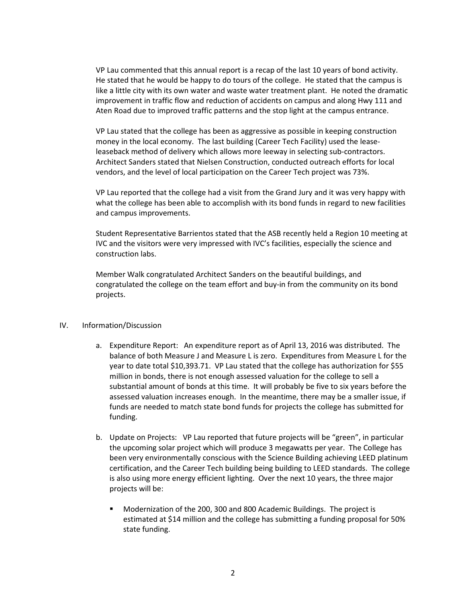VP Lau commented that this annual report is a recap of the last 10 years of bond activity. He stated that he would be happy to do tours of the college. He stated that the campus is like a little city with its own water and waste water treatment plant. He noted the dramatic improvement in traffic flow and reduction of accidents on campus and along Hwy 111 and Aten Road due to improved traffic patterns and the stop light at the campus entrance.

VP Lau stated that the college has been as aggressive as possible in keeping construction money in the local economy. The last building (Career Tech Facility) used the leaseleaseback method of delivery which allows more leeway in selecting sub-contractors. Architect Sanders stated that Nielsen Construction, conducted outreach efforts for local vendors, and the level of local participation on the Career Tech project was 73%.

VP Lau reported that the college had a visit from the Grand Jury and it was very happy with what the college has been able to accomplish with its bond funds in regard to new facilities and campus improvements.

Student Representative Barrientos stated that the ASB recently held a Region 10 meeting at IVC and the visitors were very impressed with IVC's facilities, especially the science and construction labs.

Member Walk congratulated Architect Sanders on the beautiful buildings, and congratulated the college on the team effort and buy-in from the community on its bond projects.

## IV. Information/Discussion

- a. Expenditure Report: An expenditure report as of April 13, 2016 was distributed. The balance of both Measure J and Measure L is zero. Expenditures from Measure L for the year to date total \$10,393.71. VP Lau stated that the college has authorization for \$55 million in bonds, there is not enough assessed valuation for the college to sell a substantial amount of bonds at this time. It will probably be five to six years before the assessed valuation increases enough. In the meantime, there may be a smaller issue, if funds are needed to match state bond funds for projects the college has submitted for funding.
- b. Update on Projects: VP Lau reported that future projects will be "green", in particular the upcoming solar project which will produce 3 megawatts per year. The College has been very environmentally conscious with the Science Building achieving LEED platinum certification, and the Career Tech building being building to LEED standards. The college is also using more energy efficient lighting. Over the next 10 years, the three major projects will be:
	- Modernization of the 200, 300 and 800 Academic Buildings. The project is estimated at \$14 million and the college has submitting a funding proposal for 50% state funding.